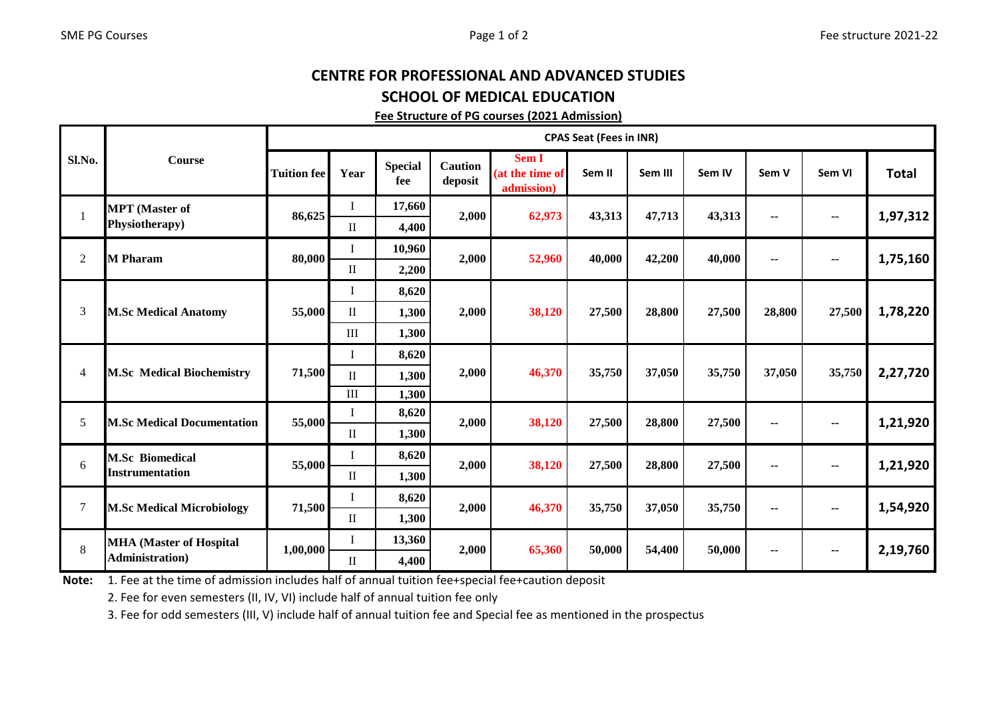## CENTRE FOR PROFESSIONAL AND ADVANCED STUDIESSCHOOL OF MEDICAL EDUCATION

## Fee Structure of PG courses (2021 Admission)

|        | Course                                                    | <b>CPAS Seat (Fees in INR)</b> |              |                       |                           |                                        |        |         |        |        |                          |              |
|--------|-----------------------------------------------------------|--------------------------------|--------------|-----------------------|---------------------------|----------------------------------------|--------|---------|--------|--------|--------------------------|--------------|
| Sl.No. |                                                           | <b>Tuition fee</b>             | Year         | <b>Special</b><br>fee | <b>Caution</b><br>deposit | Sem I<br>(at the time of<br>admission) | Sem II | Sem III | Sem IV | Sem V  | Sem VI                   | <b>Total</b> |
|        | <b>MPT</b> (Master of<br><b>Physiotherapy</b> )           | 86,625                         | L            | 17,660                | 2,000                     | 62,973                                 | 43,313 | 47,713  | 43,313 | ۰.     | $\overline{\phantom{a}}$ | 1,97,312     |
|        |                                                           |                                | $\mathbf{I}$ | 4,400                 |                           |                                        |        |         |        |        |                          |              |
| 2      | <b>M</b> Pharam                                           | 80,000                         | I            | 10,960                | 2,000                     | 52,960                                 | 40,000 | 42,200  | 40,000 |        | ۰.                       | 1,75,160     |
|        |                                                           |                                | $\mathbf{I}$ | 2,200                 |                           |                                        |        |         |        |        |                          |              |
| 3      | <b>M.Sc Medical Anatomy</b>                               |                                |              | 8,620                 | 2,000                     | 38,120                                 | 27,500 | 28,800  | 27,500 | 28,800 | 27,500                   | 1,78,220     |
|        |                                                           | 55,000                         | $\mathbf{I}$ | 1,300                 |                           |                                        |        |         |        |        |                          |              |
|        |                                                           |                                | $\rm III$    | 1,300                 |                           |                                        |        |         |        |        |                          |              |
| 4      | <b>M.Sc Medical Biochemistry</b>                          | 71,500                         | Ι.           | 8,620                 | 2,000                     | 46,370                                 | 35,750 | 37,050  | 35,750 | 37,050 | 35,750                   | 2,27,720     |
|        |                                                           |                                | $\mathbf{I}$ | 1,300                 |                           |                                        |        |         |        |        |                          |              |
|        |                                                           |                                | III          | 1,300                 |                           |                                        |        |         |        |        |                          |              |
| 5      | <b>M.Sc Medical Documentation</b>                         | 55,000                         |              | 8,620                 | 2,000                     | 38,120                                 | 27,500 | 28,800  | 27,500 | ۰.     | ۰.                       | 1,21,920     |
|        |                                                           |                                | $\mathbf{I}$ | 1,300                 |                           |                                        |        |         |        |        |                          |              |
| 6      | <b>M.Sc Biomedical</b><br><b>Instrumentation</b>          | 55,000                         | T            | 8,620                 | 2,000                     | 38,120                                 | 27,500 | 28,800  | 27,500 | ۰.     | --                       | 1,21,920     |
|        |                                                           |                                | $\mathbf{I}$ | 1,300                 |                           |                                        |        |         |        |        |                          |              |
| 7      | <b>M.Sc Medical Microbiology</b>                          | 71,500                         |              | 8,620                 | 2,000                     | 46,370                                 | 35,750 | 37,050  | 35,750 | $-1$   | $\overline{\phantom{a}}$ | 1,54,920     |
|        |                                                           |                                | $\mathbf{I}$ | 1,300                 |                           |                                        |        |         |        |        |                          |              |
| 8      | <b>MHA (Master of Hospital</b><br><b>Administration</b> ) | 1,00,000                       |              | 13,360                | 2,000                     | 65,360                                 | 50,000 | 54,400  | 50,000 | ۰.     | -−                       | 2,19,760     |
|        |                                                           |                                | $\mathbf{I}$ | 4,400                 |                           |                                        |        |         |        |        |                          |              |

Note: 1. Fee at the time of admission includes half of annual tuition fee+special fee+caution deposit

2. Fee for even semesters (II, IV, VI) include half of annual tuition fee only

3. Fee for odd semesters (III, V) include half of annual tuition fee and Special fee as mentioned in the prospectus